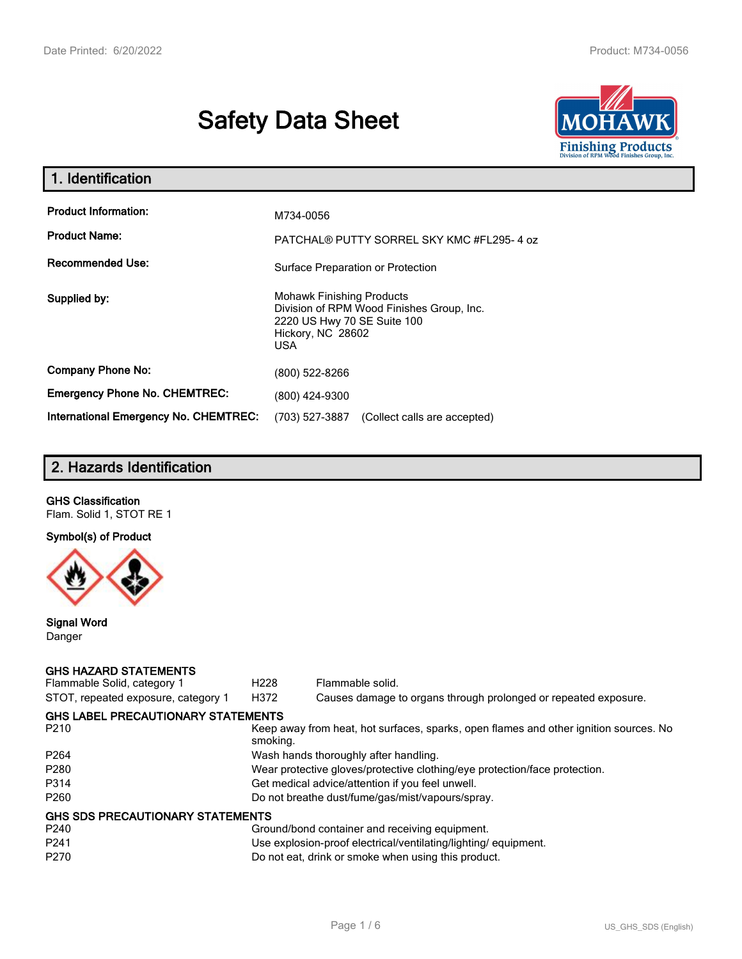# **Safety Data Sheet**



| 1. Identification                            |                                                                                                                                          |
|----------------------------------------------|------------------------------------------------------------------------------------------------------------------------------------------|
| <b>Product Information:</b>                  | M734-0056                                                                                                                                |
| <b>Product Name:</b>                         | PATCHAL® PUTTY SORREL SKY KMC #FL295-4 oz                                                                                                |
| <b>Recommended Use:</b>                      | Surface Preparation or Protection                                                                                                        |
| Supplied by:                                 | <b>Mohawk Finishing Products</b><br>Division of RPM Wood Finishes Group, Inc.<br>2220 US Hwy 70 SE Suite 100<br>Hickory, NC 28602<br>USA |
| <b>Company Phone No:</b>                     | (800) 522-8266                                                                                                                           |
| <b>Emergency Phone No. CHEMTREC:</b>         | (800) 424-9300                                                                                                                           |
| <b>International Emergency No. CHEMTREC:</b> | (703) 527-3887<br>(Collect calls are accepted)                                                                                           |

# **2. Hazards Identification**

# **GHS Classification**

Flam. Solid 1, STOT RE 1

# **Symbol(s) of Product**



#### **Signal Word** Danger

#### **GHS HAZARD STATEMENTS**

| Flammable Solid, category 1               | H <sub>228</sub>                                 | Flammable solid.                                                                      |  |
|-------------------------------------------|--------------------------------------------------|---------------------------------------------------------------------------------------|--|
| STOT, repeated exposure, category 1       | H372                                             | Causes damage to organs through prolonged or repeated exposure.                       |  |
| <b>GHS LABEL PRECAUTIONARY STATEMENTS</b> |                                                  |                                                                                       |  |
| P <sub>210</sub>                          | smoking.                                         | Keep away from heat, hot surfaces, sparks, open flames and other ignition sources. No |  |
| P <sub>264</sub>                          |                                                  | Wash hands thoroughly after handling.                                                 |  |
| P <sub>280</sub>                          |                                                  | Wear protective gloves/protective clothing/eye protection/face protection.            |  |
| P314                                      | Get medical advice/attention if you feel unwell. |                                                                                       |  |
| P <sub>260</sub>                          | Do not breathe dust/fume/gas/mist/vapours/spray. |                                                                                       |  |
| <b>GHS SDS PRECAUTIONARY STATEMENTS</b>   |                                                  |                                                                                       |  |
| P <sub>240</sub>                          |                                                  | Ground/bond container and receiving equipment.                                        |  |
| P <sub>241</sub>                          |                                                  | Use explosion-proof electrical/ventilating/lighting/equipment.                        |  |
| P <sub>270</sub>                          |                                                  | Do not eat, drink or smoke when using this product.                                   |  |
|                                           |                                                  |                                                                                       |  |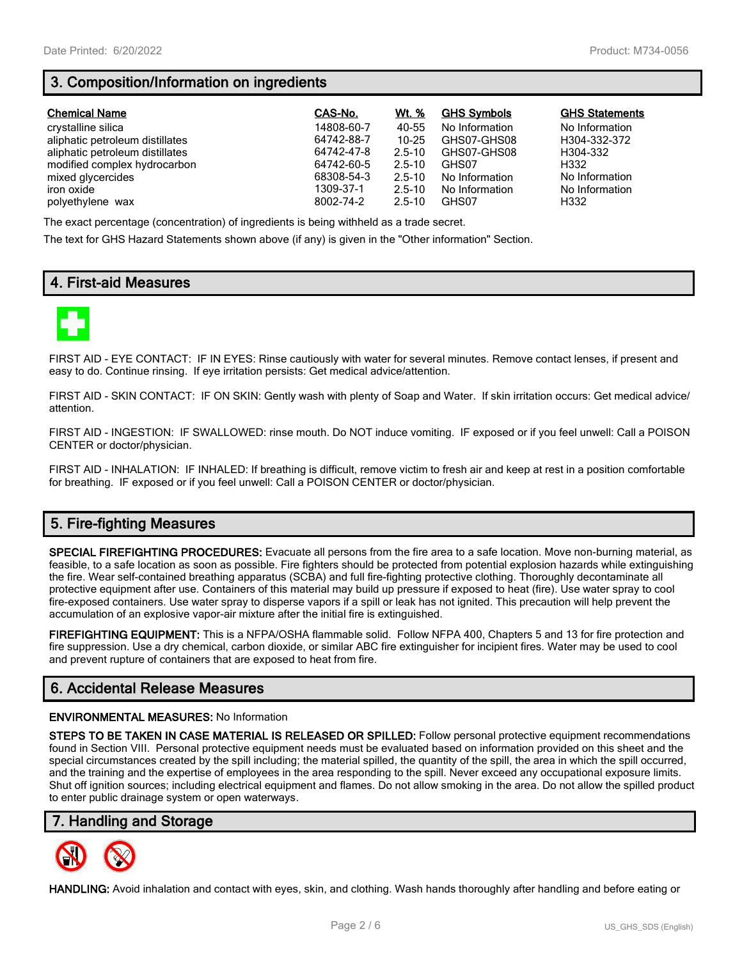# **3. Composition/Information on ingredients**

| <b>Chemical Name</b>            | CAS-No.    | Wt. %      | <b>GHS Symbols</b> | <b>GHS Statements</b> |
|---------------------------------|------------|------------|--------------------|-----------------------|
| crystalline silica              | 14808-60-7 | 40-55      | No Information     | No Information        |
| aliphatic petroleum distillates | 64742-88-7 | $10 - 25$  | GHS07-GHS08        | H304-332-372          |
| aliphatic petroleum distillates | 64742-47-8 | $2.5 - 10$ | GHS07-GHS08        | H304-332              |
| modified complex hydrocarbon    | 64742-60-5 | $2.5 - 10$ | GHS07              | H332                  |
| mixed glycercides               | 68308-54-3 | $2.5 - 10$ | No Information     | No Information        |
| iron oxide                      | 1309-37-1  | $2.5 - 10$ | No Information     | No Information        |
| polyethylene wax                | 8002-74-2  | $2.5 - 10$ | GHS07              | H332                  |

The exact percentage (concentration) of ingredients is being withheld as a trade secret.

The text for GHS Hazard Statements shown above (if any) is given in the "Other information" Section.

### **4. First-aid Measures**



FIRST AID - EYE CONTACT: IF IN EYES: Rinse cautiously with water for several minutes. Remove contact lenses, if present and easy to do. Continue rinsing. If eye irritation persists: Get medical advice/attention.

FIRST AID - SKIN CONTACT: IF ON SKIN: Gently wash with plenty of Soap and Water. If skin irritation occurs: Get medical advice/ attention.

FIRST AID - INGESTION: IF SWALLOWED: rinse mouth. Do NOT induce vomiting. IF exposed or if you feel unwell: Call a POISON CENTER or doctor/physician.

FIRST AID - INHALATION: IF INHALED: If breathing is difficult, remove victim to fresh air and keep at rest in a position comfortable for breathing. IF exposed or if you feel unwell: Call a POISON CENTER or doctor/physician.

# **5. Fire-fighting Measures**

**SPECIAL FIREFIGHTING PROCEDURES:** Evacuate all persons from the fire area to a safe location. Move non-burning material, as feasible, to a safe location as soon as possible. Fire fighters should be protected from potential explosion hazards while extinguishing the fire. Wear self-contained breathing apparatus (SCBA) and full fire-fighting protective clothing. Thoroughly decontaminate all protective equipment after use. Containers of this material may build up pressure if exposed to heat (fire). Use water spray to cool fire-exposed containers. Use water spray to disperse vapors if a spill or leak has not ignited. This precaution will help prevent the accumulation of an explosive vapor-air mixture after the initial fire is extinguished.

**FIREFIGHTING EQUIPMENT:** This is a NFPA/OSHA flammable solid. Follow NFPA 400, Chapters 5 and 13 for fire protection and fire suppression. Use a dry chemical, carbon dioxide, or similar ABC fire extinguisher for incipient fires. Water may be used to cool and prevent rupture of containers that are exposed to heat from fire.

## **6. Accidental Release Measures**

#### **ENVIRONMENTAL MEASURES:** No Information

**STEPS TO BE TAKEN IN CASE MATERIAL IS RELEASED OR SPILLED:** Follow personal protective equipment recommendations found in Section VIII. Personal protective equipment needs must be evaluated based on information provided on this sheet and the special circumstances created by the spill including; the material spilled, the quantity of the spill, the area in which the spill occurred, and the training and the expertise of employees in the area responding to the spill. Never exceed any occupational exposure limits. Shut off ignition sources; including electrical equipment and flames. Do not allow smoking in the area. Do not allow the spilled product to enter public drainage system or open waterways.

#### **7. Handling and Storage**



**HANDLING:** Avoid inhalation and contact with eyes, skin, and clothing. Wash hands thoroughly after handling and before eating or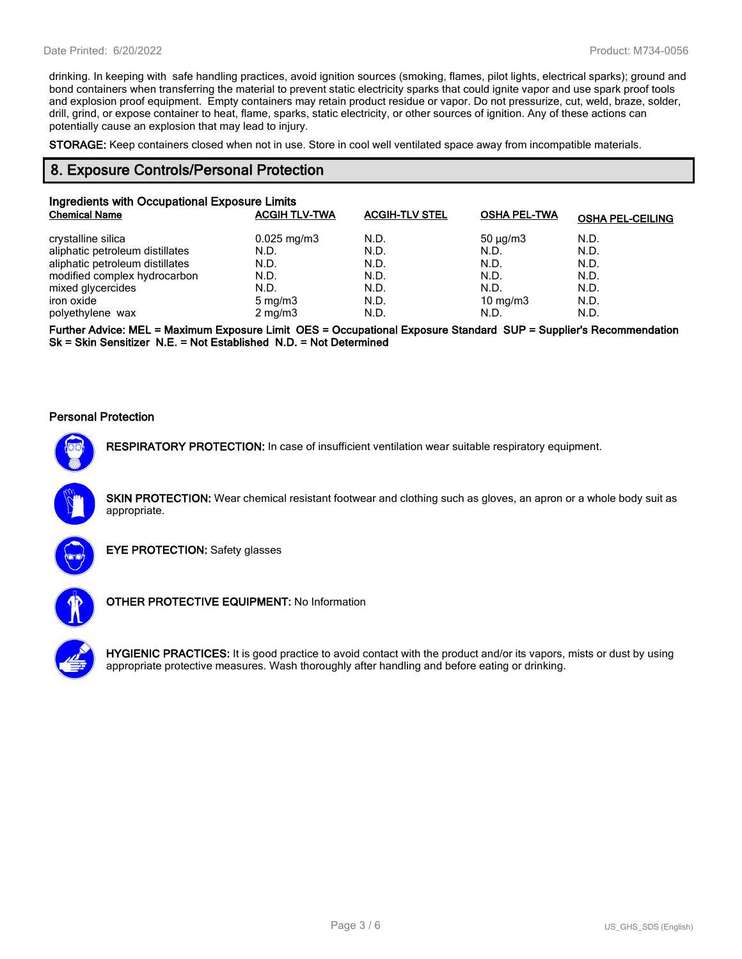drinking. In keeping with safe handling practices, avoid ignition sources (smoking, flames, pilot lights, electrical sparks); ground and bond containers when transferring the material to prevent static electricity sparks that could ignite vapor and use spark proof tools and explosion proof equipment. Empty containers may retain product residue or vapor. Do not pressurize, cut, weld, braze, solder, drill, grind, or expose container to heat, flame, sparks, static electricity, or other sources of ignition. Any of these actions can potentially cause an explosion that may lead to injury.

**STORAGE:** Keep containers closed when not in use. Store in cool well ventilated space away from incompatible materials.

### **8. Exposure Controls/Personal Protection**

| Ingredients with Occupational Exposure Limits |                      |                       |                     |                         |
|-----------------------------------------------|----------------------|-----------------------|---------------------|-------------------------|
| <b>Chemical Name</b>                          | <b>ACGIH TLV-TWA</b> | <b>ACGIH-TLV STEL</b> | <b>OSHA PEL-TWA</b> | <b>OSHA PEL-CEILING</b> |
| crystalline silica                            | $0.025$ mg/m $3$     | N.D.                  | $50 \mu q/m3$       | N.D.                    |
| aliphatic petroleum distillates               | N.D.                 | N.D.                  | N.D.                | N.D.                    |
| aliphatic petroleum distillates               | N.D.                 | N.D.                  | N.D.                | N.D.                    |
| modified complex hydrocarbon                  | N.D.                 | N.D.                  | N.D.                | N.D.                    |
| mixed glycercides                             | N.D.                 | N.D.                  | N.D.                | N.D.                    |
| iron oxide                                    | $5 \text{ mg/m}$     | N.D.                  | $10 \text{ mg/m}$   | N.D.                    |
| polyethylene wax                              | $2 \text{ mg/m}$     | N.D.                  | N.D.                | N.D.                    |

**Further Advice: MEL = Maximum Exposure Limit OES = Occupational Exposure Standard SUP = Supplier's Recommendation Sk = Skin Sensitizer N.E. = Not Established N.D. = Not Determined**

#### **Personal Protection**

**RESPIRATORY PROTECTION:** In case of insufficient ventilation wear suitable respiratory equipment.

**SKIN PROTECTION:** Wear chemical resistant footwear and clothing such as gloves, an apron or a whole body suit as appropriate.



**EYE PROTECTION:** Safety glasses



**OTHER PROTECTIVE EQUIPMENT:** No Information



**HYGIENIC PRACTICES:** It is good practice to avoid contact with the product and/or its vapors, mists or dust by using appropriate protective measures. Wash thoroughly after handling and before eating or drinking.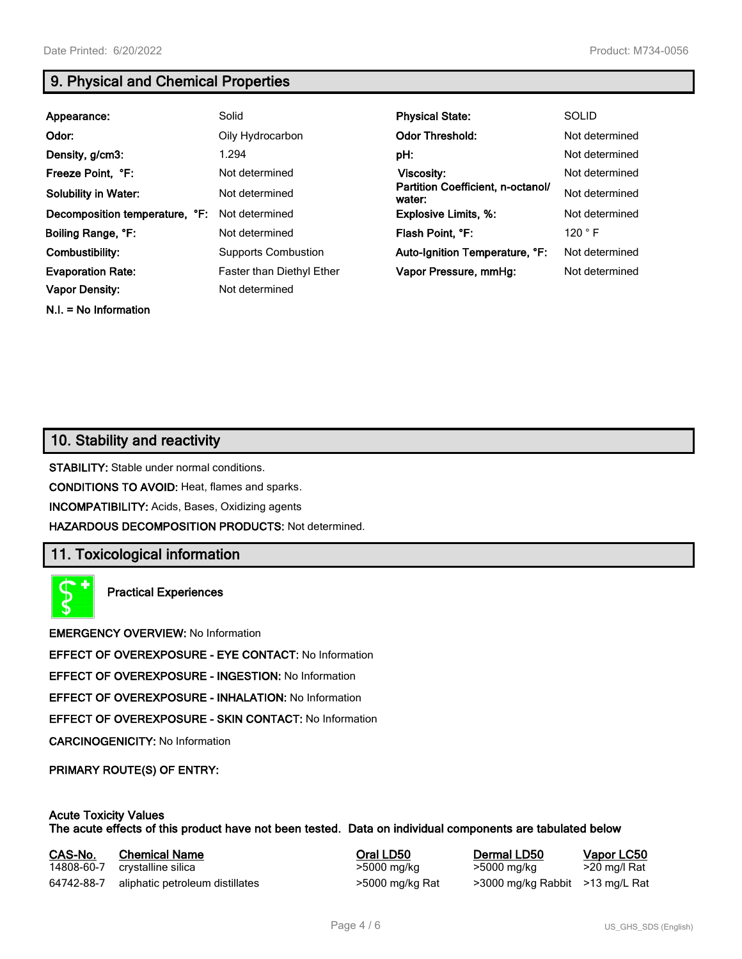**N.I. = No Information**

# **9. Physical and Chemical Properties**

| Appearance:                                       | Solid                                       | <b>Physical State:</b>                      | <b>SOLID</b>   |
|---------------------------------------------------|---------------------------------------------|---------------------------------------------|----------------|
| Odor:                                             | Oily Hydrocarbon                            | <b>Odor Threshold:</b>                      | Not determined |
| Density, g/cm3:                                   | 1.294                                       | pH:                                         | Not determined |
| Freeze Point, °F:                                 | Not determined                              | Viscosity:                                  | Not determined |
| <b>Solubility in Water:</b>                       | Not determined                              | Partition Coefficient, n-octanol/<br>water: | Not determined |
| Decomposition temperature, °F:                    | Not determined                              | <b>Explosive Limits, %:</b>                 | Not determined |
| Boiling Range, °F:                                | Not determined                              | Flash Point, °F:                            | 120 °F         |
| Combustibility:                                   | <b>Supports Combustion</b>                  | Auto-Ignition Temperature, °F:              | Not determined |
| <b>Evaporation Rate:</b><br><b>Vapor Density:</b> | Faster than Diethyl Ether<br>Not determined | Vapor Pressure, mmHg:                       | Not determined |
|                                                   |                                             |                                             |                |

# **10. Stability and reactivity**

**STABILITY:** Stable under normal conditions.

**CONDITIONS TO AVOID:** Heat, flames and sparks.

**INCOMPATIBILITY:** Acids, Bases, Oxidizing agents

**HAZARDOUS DECOMPOSITION PRODUCTS:** Not determined.

## **11. Toxicological information**

**Practical Experiences**

**EMERGENCY OVERVIEW:** No Information

**EFFECT OF OVEREXPOSURE - EYE CONTACT:** No Information

**EFFECT OF OVEREXPOSURE - INGESTION:** No Information

**EFFECT OF OVEREXPOSURE - INHALATION:** No Information

**EFFECT OF OVEREXPOSURE - SKIN CONTACT:** No Information

**CARCINOGENICITY:** No Information

**PRIMARY ROUTE(S) OF ENTRY:**

#### **Acute Toxicity Values The acute effects of this product have not been tested. Data on individual components are tabulated below**

| CAS-No.    | <b>Chemical Name</b>            | Oral LD50       | Dermal LD50                     | Vapor LC50   |
|------------|---------------------------------|-----------------|---------------------------------|--------------|
| 14808-60-7 | crystalline silica              | >5000 mg/kg     | >5000 mg/kg                     | >20 mg/l Rat |
| 64742-88-7 | aliphatic petroleum distillates | >5000 mg/kg Rat | >3000 mg/kg Rabbit >13 mg/L Rat |              |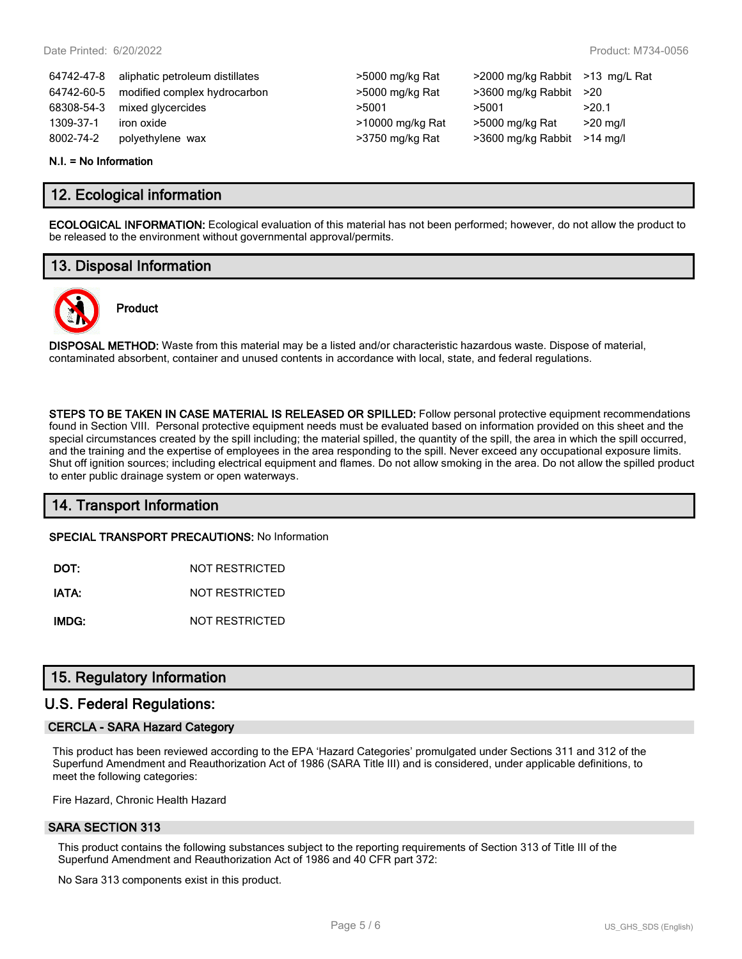| 64742-47-8 | aliphatic petroleum distillates | >5000 mg/kg Rat  | >2000 mg/kg Rabbit >13 mg/L Rat |            |
|------------|---------------------------------|------------------|---------------------------------|------------|
| 64742-60-5 | modified complex hydrocarbon    | >5000 mg/kg Rat  | $>3600$ mg/kg Rabbit $>20$      |            |
| 68308-54-3 | mixed glycercides               | >5001            | >5001                           | >20.1      |
| 1309-37-1  | iron oxide                      | >10000 mg/kg Rat | >5000 mg/kg Rat                 | $>20$ mg/l |
| 8002-74-2  | polyethylene wax                | >3750 mg/kg Rat  | >3600 mg/kg Rabbit              | >14 ma/l   |
|            |                                 |                  |                                 |            |

#### **N.I. = No Information**

## **12. Ecological information**

**ECOLOGICAL INFORMATION:** Ecological evaluation of this material has not been performed; however, do not allow the product to be released to the environment without governmental approval/permits.

# **13. Disposal Information**



# **Product**

**DISPOSAL METHOD:** Waste from this material may be a listed and/or characteristic hazardous waste. Dispose of material, contaminated absorbent, container and unused contents in accordance with local, state, and federal regulations.

**STEPS TO BE TAKEN IN CASE MATERIAL IS RELEASED OR SPILLED:** Follow personal protective equipment recommendations found in Section VIII. Personal protective equipment needs must be evaluated based on information provided on this sheet and the special circumstances created by the spill including; the material spilled, the quantity of the spill, the area in which the spill occurred, and the training and the expertise of employees in the area responding to the spill. Never exceed any occupational exposure limits. Shut off ignition sources; including electrical equipment and flames. Do not allow smoking in the area. Do not allow the spilled product to enter public drainage system or open waterways.

## **14. Transport Information**

**SPECIAL TRANSPORT PRECAUTIONS:** No Information

**DOT:** NOT RESTRICTED

**IATA:** NOT RESTRICTED

**IMDG:** NOT RESTRICTED

## **15. Regulatory Information**

#### **U.S. Federal Regulations:**

#### **CERCLA - SARA Hazard Category**

This product has been reviewed according to the EPA 'Hazard Categories' promulgated under Sections 311 and 312 of the Superfund Amendment and Reauthorization Act of 1986 (SARA Title III) and is considered, under applicable definitions, to meet the following categories:

Fire Hazard, Chronic Health Hazard

#### **SARA SECTION 313**

This product contains the following substances subject to the reporting requirements of Section 313 of Title III of the Superfund Amendment and Reauthorization Act of 1986 and 40 CFR part 372:

No Sara 313 components exist in this product.